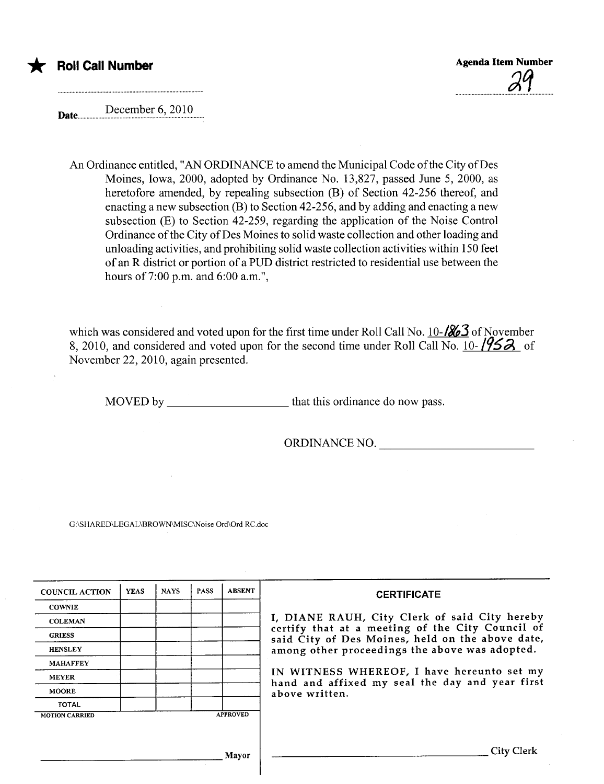

December 6, 2010 Date..............

An Ordinance entitled, "AN ORDINANCE to amend the Municipal Code of the City of Des Moines, Iowa, 2000, adopted by Ordinance No. 13,827, passed June 5, 2000, as heretofore amended, by repealing subsection (B) of Section 42-256 thereof, and enacting a new subsection (B) to Section 42-256, and by adding and enacting a new subsection (E) to Section 42-259, regarding the application of the Noise Control Ordinance ofthe City of Des Moines to solid waste collection and other loading and unloading activities, and prohibiting solid waste collection activities within 150 feet of an R district or portion of a PUD district restricted to residential use between the hours of 7:00 p.m. and 6:00 a.m.",

which was considered and voted upon for the first time under Roll Call No. 10- $\frac{1}{86}$  of November 8, 2010, and considered and voted upon for the second time under Roll Call No.  $10-195-$  of November 22,2010, again presented.

MOVED by that this ordinance do now pass.

ORDINANCE NO.

G:\SHARED\LEGAL\BROWNMISC\Noise Ord\Ord RC.doc

| <b>COUNCIL ACTION</b> | <b>YEAS</b> | <b>NAYS</b> | <b>PASS</b> | <b>ABSENT</b>   | <b>CERTIFICATE</b>                                                                                   |
|-----------------------|-------------|-------------|-------------|-----------------|------------------------------------------------------------------------------------------------------|
| <b>COWNIE</b>         |             |             |             |                 |                                                                                                      |
| <b>COLEMAN</b>        |             |             |             |                 | I, DIANE RAUH, City Clerk of said City hereby                                                        |
| <b>GRIESS</b>         |             |             |             |                 | certify that at a meeting of the City Council of<br>said City of Des Moines, held on the above date, |
| <b>HENSLEY</b>        |             |             |             |                 | among other proceedings the above was adopted.                                                       |
| <b>MAHAFFEY</b>       |             |             |             |                 |                                                                                                      |
| <b>MEYER</b>          |             |             |             |                 | IN WITNESS WHEREOF, I have hereunto set my<br>hand and affixed my seal the day and year first        |
| <b>MOORE</b>          |             |             |             |                 | above written.                                                                                       |
| <b>TOTAL</b>          |             |             |             |                 |                                                                                                      |
| <b>MOTION CARRIED</b> |             |             |             | <b>APPROVED</b> |                                                                                                      |
|                       |             |             |             |                 |                                                                                                      |
|                       |             |             |             |                 |                                                                                                      |
|                       |             |             |             | Mayor           | City Clerk                                                                                           |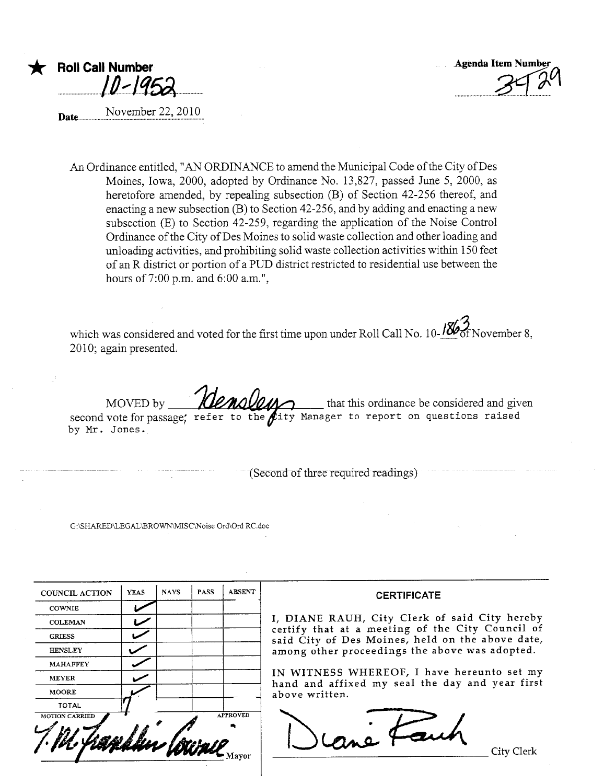

Roll Call Number  $\overline{\phantom{a}}$ 

November 22, 2010 Date.

An Ordinance entitled, "AN ORDINANCE to amend the Municipal Code of the City of Des Moines, Iowa, 2000, adopted by Ordinance No. 13,827, passed June 5, 2000, as heretofore amended, by repealing subsection (B) of Section 42-256 thereof, and enacting a new subsection (B) to Section 42-256, and by adding and enacting a new subsection (E) to Section 42-259, regarding the application of the Noise Control Ordinance of the City of Des Moines to solid waste collection and other loading and unloading activities, and prohibiting solid waste collection activities within 150 feet of an R district or portion of a PUD district restricted to residential use between the hours of 7:00 p.m. and 6:00 a.m.",

which was considered and voted for the first time upon under Roll Call No. 10- $\frac{18}{66}$  November 8, 2010; again presented.

MOVED by second vote for passage; refer to the  $\beta$ ity Manager to report on questions raised by Mr. Jones. that this ordinance be considered and given

(Second of three required readings)

G:\SHARED\LEGAL\BROWN\MISC\Noise Ord\Ord RC.doc

| <b>YEAS</b> | <b>NAYS</b> | <b>PASS</b> | <b>ABSENT</b>   |
|-------------|-------------|-------------|-----------------|
|             |             |             |                 |
|             |             |             |                 |
|             |             |             |                 |
|             |             |             |                 |
|             |             |             |                 |
|             |             |             |                 |
|             |             |             |                 |
|             |             |             |                 |
|             |             |             | <b>APPROVED</b> |
|             |             |             |                 |

#### **CERTIFICATE**

I, DIANE RAUH, City Clerk of said City hereby certify that at a meeting of the City Council of said City of Des Moines, held on the above date, among other proceedings the above was adopted.

IN WITNESS WHEREOF, I have hereunto set my hand and affixed my seal the day and year first above written.

rané Fauch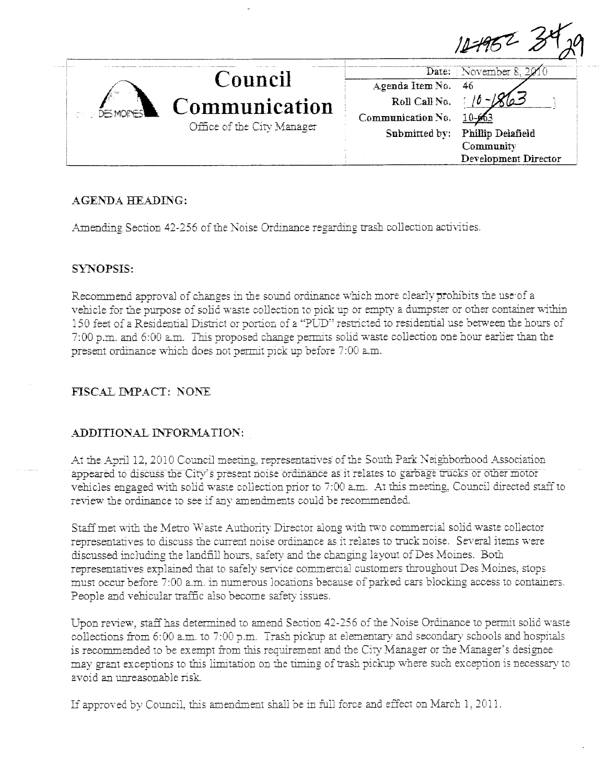

# **AGENDA HEADING:**

Amending Section 42-256 of the Noise Ordinance regarding trash collection activities.

## **SYNOPSIS:**

Recommend approval of changes in the sound ordinance which more clearly prohibits the use of a vehicle for the purpose of solid waste collection to pick up or empty a dumpster or other container within 150 feet of a Residential District or portion of a "PUD" restricted to residential use between the hours of 7:00 p.m. and 6:00 a.m. This proposed change permits solid waste collection one hour earlier than the present ordinance which does not permit pick up before 7:00 a.m.

## FISCAL IMPACT: NONE

## ADDITIONAL INFORMATION:

At the April 12, 2010 Council meeting, representatives of the South Park Neighborhood Association appeared to discuss the City's present noise ordinance as it relates to garbage trucks or other motor vehicles engaged with solid waste collection prior to 7:00 a.m. At this meeting, Council directed staff to review the ordinance to see if any amendments could be recommended.

Staff met with the Metro Waste Authority Director along with two commercial solid waste collector representatives to discuss the current noise ordinance as it relates to truck noise. Several items were discussed including the landfill hours, safety and the changing layout of Des Moines. Both representatives explained that to safely service commercial customers throughout Des Moines, stops must occur before 7:00 a.m. in numerous locations because of parked cars blocking access to containers. People and vehicular traffic also become safety issues.

Upon review, staff has determined to amend Section 42-256 of the Noise Ordinance to permit solid waste collections from 6:00 a.m. to 7:00 p.m. Trash pickup at elementary and secondary schools and hospitals is recommended to be exempt from this requirement and the City Manager or the Manager's designee may grant exceptions to this limitation on the timing of trash pickup where such exception is necessary to avoid an unreasonable risk.

If approved by Council, this amendment shall be in full force and effect on March 1, 2011.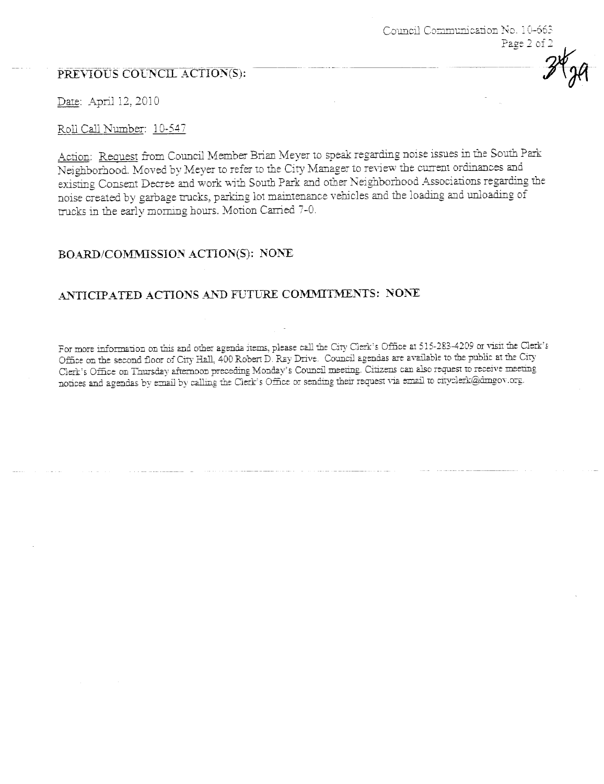## PREVIOUS COUNCIL ACTION(S):

Date: April 12, 2010

#### Roll Call Number: 10-547

Action: Request from Council Member Brian Meyer to speak regarding noise issues in the South Park Neighborhood. Moved by Meyer to refer to the City Manager to review the current ordinances and existing Consent Decree and work with South Park and other Neighborhood Associations regarding the noise created by garbage trucks, parking lot maintenance vehicles and the loading and unloading of trucks in the early morning hours. Motion Carried 7-0.

Council Communication No. 10-663

Page 2 of 2

## BOARD/COMMISSION ACTION(S): NONE

## ANTICIPATED ACTIONS AND FUTURE COMMITMENTS: NONE

For more information on this and other agenda items, please call the City Clerk's Office at 515-283-4209 or visit the Clerk's Office on the second floor of City Hall, 400 Robert D. Ray Drive. Council agendas are available to the public at the City Clerk's Office on Thursday afternoon preceding Monday's Council meeting. Citizens can also request to receive meeting notices and agendas by email by calling the Clerk's Office or sending their request via email to cityclerk@dmgov.org.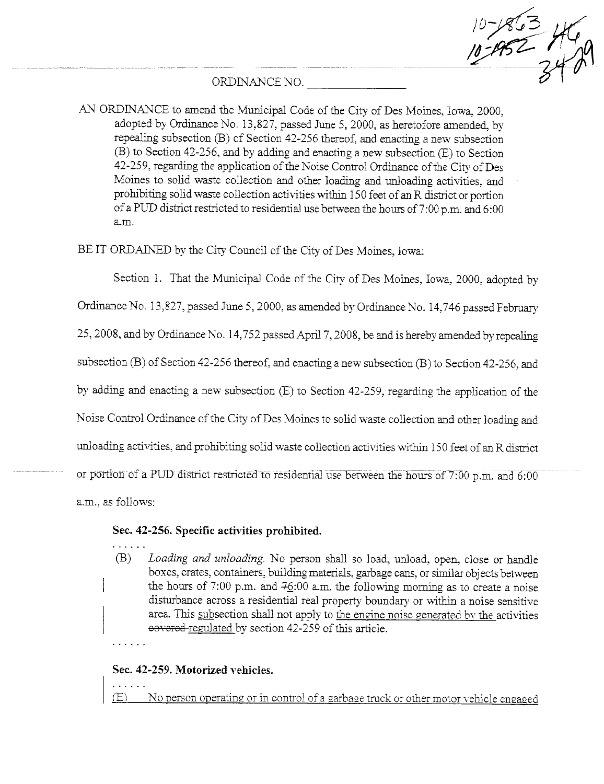$10-1863$ 

## ORDINANCE NO.

AN ORDINANCE to amend the Municipal Code of the City of Des Moines. Iowa, 2000. adopted by Ordinance No. 13,827, passed June 5, 2000, as heretofore amended, by repealing subsection (B) of Section 42-256 thereof, and enacting a new subsection  $(B)$  to Section 42-256, and by adding and enacting a new subsection  $(E)$  to Section 42-259, regarding the application of the Noise Control Ordinance of the City of Des Moines to solid waste collection and other loading and unloading activities, and prohibiting solid waste collection activities within 150 feet of an R district or portion of a PUD district restricted to residential use between the hours of 7:00 p.m. and 6:00 a.m.

BE IT ORDAINED by the City Council of the City of Des Moines, Iowa:

Section 1. That the Municipal Code of the City of Des Moines, Iowa, 2000, adopted by

Ordinance No. 13,827, passed June 5, 2000, as amended by Ordinance No. 14,746 passed February

25, 2008, and by Ordinance No. 14,752 passed April 7, 2008, be and is hereby amended by repealing

subsection (B) of Section 42-256 thereof, and enacting a new subsection (B) to Section 42-256, and

by adding and enacting a new subsection (E) to Section 42-259, regarding the application of the

Noise Control Ordinance of the City of Des Moines to solid waste collection and other loading and

unloading activities, and prohibiting solid waste collection activities within 150 feet of an R district

or portion of a PUD district restricted to residential use between the hours of 7:00 p.m. and 6:00

a.m., as follows:

#### Sec. 42-256. Specific activities prohibited.

 $(B)$ Loading and unloading. No person shall so load, unload, open, close or handle boxes, crates, containers, building materials, garbage cans, or similar objects between the hours of 7:00 p.m. and  $76:00$  a.m. the following morning as to create a noise disturbance across a residential real property boundary or within a noise sensitive area. This subsection shall not apply to the engine noise generated by the activities covered regulated by section 42-259 of this article.

## Sec. 42-259. Motorized vehicles.

No person operating or in control of a garbage truck or other motor vehicle engaged  $(E)$